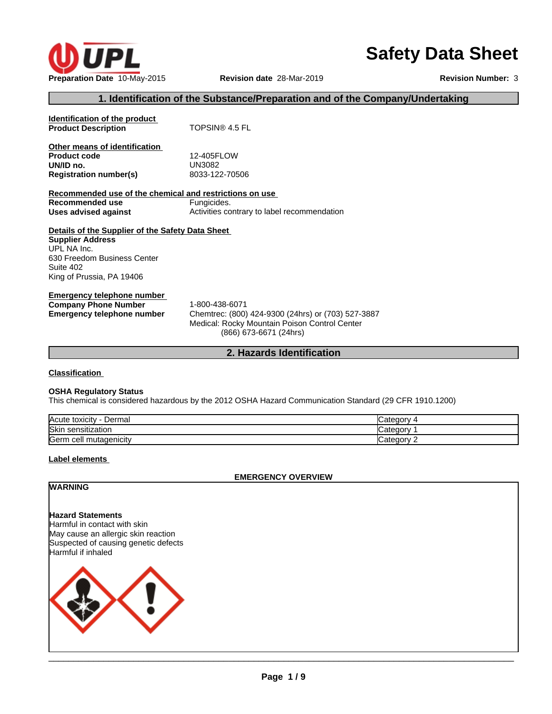

# **Safety Data Sheet**

# **1. Identification of the Substance/Preparation and of the Company/Undertaking**

| Identification of the product<br><b>Product Description</b>                                                                                                         | TOPSIN® 4.5 FL                                                                                                                                  |
|---------------------------------------------------------------------------------------------------------------------------------------------------------------------|-------------------------------------------------------------------------------------------------------------------------------------------------|
| Other means of identification<br><b>Product code</b><br>UN/ID no.<br><b>Registration number(s)</b>                                                                  | 12-405FLOW<br>UN3082<br>8033-122-70506                                                                                                          |
| Recommended use of the chemical and restrictions on use<br>Recommended use<br><b>Uses advised against</b>                                                           | Fungicides.<br>Activities contrary to label recommendation                                                                                      |
| Details of the Supplier of the Safety Data Sheet<br><b>Supplier Address</b><br>UPL NA Inc.<br>630 Freedom Business Center<br>Suite 402<br>King of Prussia, PA 19406 |                                                                                                                                                 |
| <b>Emergency telephone number</b><br><b>Company Phone Number</b><br><b>Emergency telephone number</b>                                                               | 1-800-438-6071<br>Chemtrec: (800) 424-9300 (24hrs) or (703) 527-3887<br>Medical: Rocky Mountain Poison Control Center<br>(866) 673-6671 (24hrs) |

**2. Hazards Identification**

#### **Classification**

#### **OSHA Regulatory Status**

This chemical is considered hazardous by the 2012 OSHA Hazard Communication Standard (29 CFR 1910.1200)

| Acute toxicity<br>Dermal       | nory    |
|--------------------------------|---------|
| Skir<br>sensitization          | on v    |
| Germ<br>' mutagenicity<br>cell | tegory. |

#### **Label elements**

#### **EMERGENCY OVERVIEW**

# **WARNING**

#### **Hazard Statements**

Harmful in contact with skin May cause an allergic skin reaction Suspected of causing genetic defects Harmful if inhaled

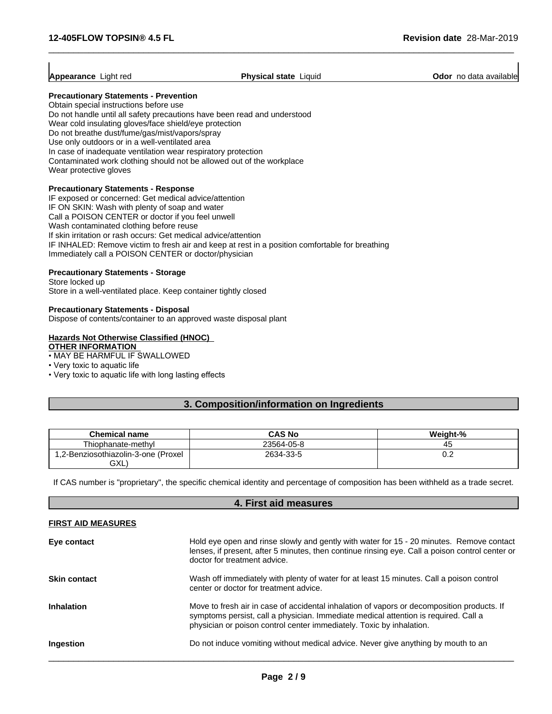**Appearance** Light red **Physical state** Liquid

 $\overline{\phantom{a}}$  ,  $\overline{\phantom{a}}$  ,  $\overline{\phantom{a}}$  ,  $\overline{\phantom{a}}$  ,  $\overline{\phantom{a}}$  ,  $\overline{\phantom{a}}$  ,  $\overline{\phantom{a}}$  ,  $\overline{\phantom{a}}$  ,  $\overline{\phantom{a}}$  ,  $\overline{\phantom{a}}$  ,  $\overline{\phantom{a}}$  ,  $\overline{\phantom{a}}$  ,  $\overline{\phantom{a}}$  ,  $\overline{\phantom{a}}$  ,  $\overline{\phantom{a}}$  ,  $\overline{\phantom{a}}$ 

**Odor** no data available

#### **Precautionary Statements - Prevention**

Obtain special instructions before use Do not handle until all safety precautions have been read and understood Wear cold insulating gloves/face shield/eye protection Do not breathe dust/fume/gas/mist/vapors/spray Use only outdoors or in a well-ventilated area In case of inadequate ventilation wear respiratory protection Contaminated work clothing should not be allowed out of the workplace Wear protective gloves

#### **Precautionary Statements - Response**

IF exposed or concerned: Get medical advice/attention IF ON SKIN: Wash with plenty of soap and water Call a POISON CENTER or doctor if you feel unwell Wash contaminated clothing before reuse If skin irritation or rash occurs: Get medical advice/attention IF INHALED: Remove victim to fresh air and keep at rest in a position comfortable for breathing Immediately call a POISON CENTER or doctor/physician

#### **Precautionary Statements - Storage**

Store locked up Store in a well-ventilated place. Keep container tightly closed

#### **Precautionary Statements - Disposal**

Dispose of contents/container to an approved waste disposal plant

#### **Hazards Not Otherwise Classified (HNOC)**

#### **OTHER INFORMATION**

• MAY BE HARMFUL IF SWALLOWED

• Very toxic to aquatic life

• Very toxic to aquatic life with long lasting effects

### **3. Composition/information on Ingredients**

| <b>Chemical name</b>               | <b>CAS No</b> | Weight-% |
|------------------------------------|---------------|----------|
| Thiophanate-methyl                 | 23564-05-8    | 45       |
| .2-Benziosothiazolin-3-one (Proxel | 2634-33-5     | ◡.∠      |
| GXL                                |               |          |

If CAS number is "proprietary", the specific chemical identity and percentage of composition has been withheld as a trade secret.

# **4. First aid measures FIRST AID MEASURES Eye contact** Hold eye open and rinse slowly and gently with water for 15 - 20 minutes. Remove contact lenses, if present, after 5 minutes, then continue rinsing eye. Call a poison control center or doctor for treatment advice. **Skin contact** Wash off immediately with plenty of water for at least 15 minutes. Call a poison control center or doctor for treatment advice. **Inhalation** Move to fresh air in case of accidental inhalation of vapors or decomposition products. If symptoms persist, call a physician. Immediate medical attention is required. Call a physician or poison control center immediately. Toxic by inhalation. **Ingestion Ingestion Do not induce vomiting without medical advice. Never give anything by mouth to an**  $\overline{\phantom{a}}$  ,  $\overline{\phantom{a}}$  ,  $\overline{\phantom{a}}$  ,  $\overline{\phantom{a}}$  ,  $\overline{\phantom{a}}$  ,  $\overline{\phantom{a}}$  ,  $\overline{\phantom{a}}$  ,  $\overline{\phantom{a}}$  ,  $\overline{\phantom{a}}$  ,  $\overline{\phantom{a}}$  ,  $\overline{\phantom{a}}$  ,  $\overline{\phantom{a}}$  ,  $\overline{\phantom{a}}$  ,  $\overline{\phantom{a}}$  ,  $\overline{\phantom{a}}$  ,  $\overline{\phantom{a}}$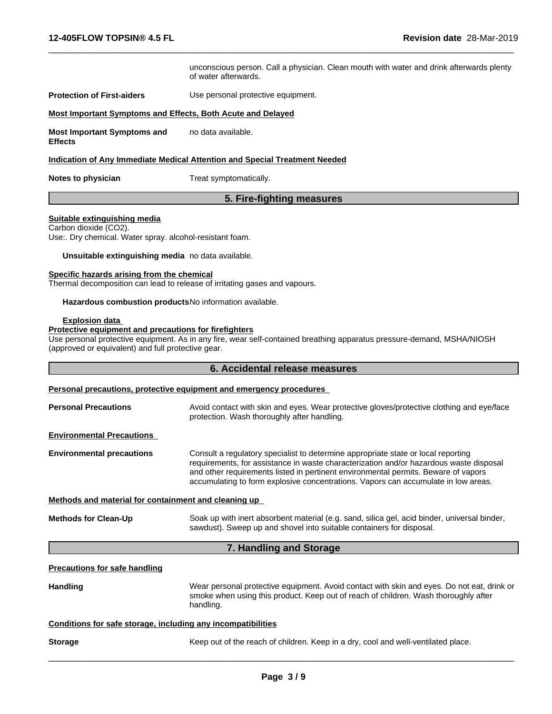|                                                                                                                                      | unconscious person. Call a physician. Clean mouth with water and drink afterwards plenty<br>of water afterwards.                                                                                                                                                                                                                                        |
|--------------------------------------------------------------------------------------------------------------------------------------|---------------------------------------------------------------------------------------------------------------------------------------------------------------------------------------------------------------------------------------------------------------------------------------------------------------------------------------------------------|
| <b>Protection of First-aiders</b>                                                                                                    | Use personal protective equipment.                                                                                                                                                                                                                                                                                                                      |
| <b>Most Important Symptoms and Effects, Both Acute and Delayed</b>                                                                   |                                                                                                                                                                                                                                                                                                                                                         |
| <b>Most Important Symptoms and</b><br><b>Effects</b>                                                                                 | no data available.                                                                                                                                                                                                                                                                                                                                      |
|                                                                                                                                      | Indication of Any Immediate Medical Attention and Special Treatment Needed                                                                                                                                                                                                                                                                              |
| Notes to physician                                                                                                                   | Treat symptomatically.                                                                                                                                                                                                                                                                                                                                  |
|                                                                                                                                      | 5. Fire-fighting measures                                                                                                                                                                                                                                                                                                                               |
| Suitable extinguishing media<br>Carbon dioxide (CO2).<br>Use:. Dry chemical. Water spray. alcohol-resistant foam.                    |                                                                                                                                                                                                                                                                                                                                                         |
| Unsuitable extinguishing media no data available.                                                                                    |                                                                                                                                                                                                                                                                                                                                                         |
| Specific hazards arising from the chemical                                                                                           | Thermal decomposition can lead to release of irritating gases and vapours.                                                                                                                                                                                                                                                                              |
| Hazardous combustion products No information available.                                                                              |                                                                                                                                                                                                                                                                                                                                                         |
| <b>Explosion data</b><br>Protective equipment and precautions for firefighters<br>(approved or equivalent) and full protective gear. | Use personal protective equipment. As in any fire, wear self-contained breathing apparatus pressure-demand, MSHA/NIOSH                                                                                                                                                                                                                                  |
|                                                                                                                                      | 6. Accidental release measures                                                                                                                                                                                                                                                                                                                          |
|                                                                                                                                      | <b>Personal precautions, protective equipment and emergency procedures</b>                                                                                                                                                                                                                                                                              |
| <b>Personal Precautions</b>                                                                                                          | Avoid contact with skin and eyes. Wear protective gloves/protective clothing and eye/face<br>protection. Wash thoroughly after handling.                                                                                                                                                                                                                |
| <b>Environmental Precautions</b>                                                                                                     |                                                                                                                                                                                                                                                                                                                                                         |
| <b>Environmental precautions</b>                                                                                                     | Consult a regulatory specialist to determine appropriate state or local reporting<br>requirements, for assistance in waste characterization and/or hazardous waste disposal<br>and other requirements listed in pertinent environmental permits. Beware of vapors<br>accumulating to form explosive concentrations. Vapors can accumulate in low areas. |
| Methods and material for containment and cleaning up                                                                                 |                                                                                                                                                                                                                                                                                                                                                         |
| <b>Methods for Clean-Up</b>                                                                                                          | Soak up with inert absorbent material (e.g. sand, silica gel, acid binder, universal binder,<br>sawdust). Sweep up and shovel into suitable containers for disposal.                                                                                                                                                                                    |
|                                                                                                                                      | 7. Handling and Storage                                                                                                                                                                                                                                                                                                                                 |
| <b>Precautions for safe handling</b>                                                                                                 |                                                                                                                                                                                                                                                                                                                                                         |
| <b>Handling</b>                                                                                                                      | Wear personal protective equipment. Avoid contact with skin and eyes. Do not eat, drink or<br>smoke when using this product. Keep out of reach of children. Wash thoroughly after<br>handling.                                                                                                                                                          |
| Conditions for safe storage, including any incompatibilities                                                                         |                                                                                                                                                                                                                                                                                                                                                         |
| <b>Storage</b>                                                                                                                       | Keep out of the reach of children. Keep in a dry, cool and well-ventilated place.                                                                                                                                                                                                                                                                       |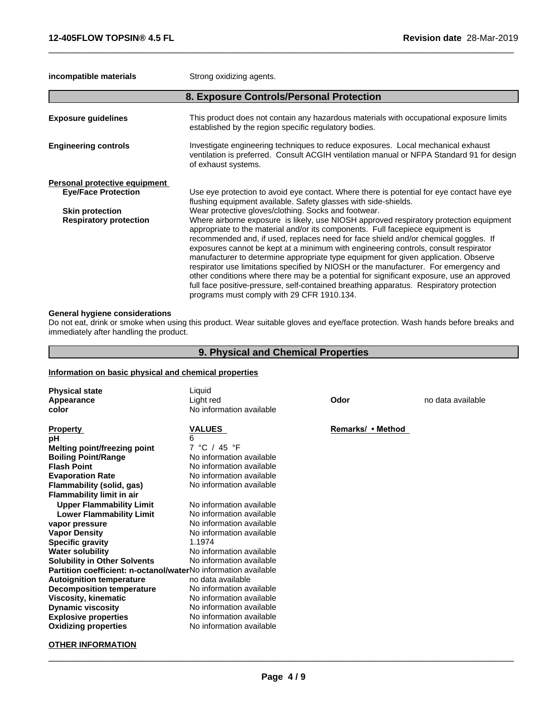**incompatible materials** Strong oxidizing agents.

# **8. Exposure Controls/Personal Protection Exposure guidelines** This product does not contain any hazardous materials with occupational exposure limits established by the region specific regulatory bodies. **Engineering controls** Investigate engineering techniques to reduce exposures. Local mechanical exhaust ventilation is preferred. Consult ACGIH ventilation manual or NFPA Standard 91 for design of exhaust systems. **Personal protective equipment Eye/Face Protection** Use eye protection to avoid eye contact. Where there is potential for eye contact have eye

 $\overline{\phantom{a}}$  ,  $\overline{\phantom{a}}$  ,  $\overline{\phantom{a}}$  ,  $\overline{\phantom{a}}$  ,  $\overline{\phantom{a}}$  ,  $\overline{\phantom{a}}$  ,  $\overline{\phantom{a}}$  ,  $\overline{\phantom{a}}$  ,  $\overline{\phantom{a}}$  ,  $\overline{\phantom{a}}$  ,  $\overline{\phantom{a}}$  ,  $\overline{\phantom{a}}$  ,  $\overline{\phantom{a}}$  ,  $\overline{\phantom{a}}$  ,  $\overline{\phantom{a}}$  ,  $\overline{\phantom{a}}$ 

flushing equipment available. Safety glasses with side-shields. **Skin protection** Wear protective gloves/clothing. Socks and footwear. **Respiratory protection** Where airborne exposure is likely, use NIOSH approved respiratory protection equipment appropriate to the material and/or its components. Full facepiece equipment is recommended and, if used, replaces need for face shield and/or chemical goggles. If exposures cannot be kept at a minimum with engineering controls, consult respirator manufacturer to determine appropriate type equipment for given application. Observe respirator use limitations specified by NIOSH or the manufacturer. For emergency and other conditions where there may be a potential for significant exposure, use an approved full face positive-pressure, self-contained breathing apparatus. Respiratory protection programs must comply with 29 CFR 1910.134.

#### **General hygiene considerations**

Do not eat, drink or smoke when using this product. Wear suitable gloves and eye/face protection. Wash hands before breaks and immediately after handling the product.

### **9. Physical and Chemical Properties**

#### **Information on basic physical and chemical properties**

| <b>Physical state</b><br>Appearance<br>color                                                                                                                                                                                                                                                                                                                                                                                                                                                                                                                                                                                  | Liquid<br>Light red<br>No information available                                                                                                                                                                                                                                                                                                                                                                                                  | Odor              | no data available |
|-------------------------------------------------------------------------------------------------------------------------------------------------------------------------------------------------------------------------------------------------------------------------------------------------------------------------------------------------------------------------------------------------------------------------------------------------------------------------------------------------------------------------------------------------------------------------------------------------------------------------------|--------------------------------------------------------------------------------------------------------------------------------------------------------------------------------------------------------------------------------------------------------------------------------------------------------------------------------------------------------------------------------------------------------------------------------------------------|-------------------|-------------------|
| <b>Property</b><br>рH<br>Melting point/freezing point<br><b>Boiling Point/Range</b><br><b>Flash Point</b><br><b>Evaporation Rate</b><br>Flammability (solid, gas)<br><b>Flammability limit in air</b><br><b>Upper Flammability Limit</b><br><b>Lower Flammability Limit</b><br>vapor pressure<br><b>Vapor Density</b><br><b>Specific gravity</b><br><b>Water solubility</b><br><b>Solubility in Other Solvents</b><br><b>Partition coefficient: n-octanol/waterNo information available</b><br><b>Autoignition temperature</b><br><b>Decomposition temperature</b><br><b>Viscosity, kinematic</b><br><b>Dynamic viscosity</b> | <b>VALUES</b><br>6<br>45 °F<br>7 °C /<br>No information available<br>No information available<br>No information available<br>No information available<br>No information available<br>No information available<br>No information available<br>No information available<br>1.1974<br>No information available<br>No information available<br>no data available<br>No information available<br>No information available<br>No information available | Remarks/ • Method |                   |
| <b>Explosive properties</b><br><b>Oxidizing properties</b>                                                                                                                                                                                                                                                                                                                                                                                                                                                                                                                                                                    | No information available<br>No information available                                                                                                                                                                                                                                                                                                                                                                                             |                   |                   |

#### **OTHER INFORMATION**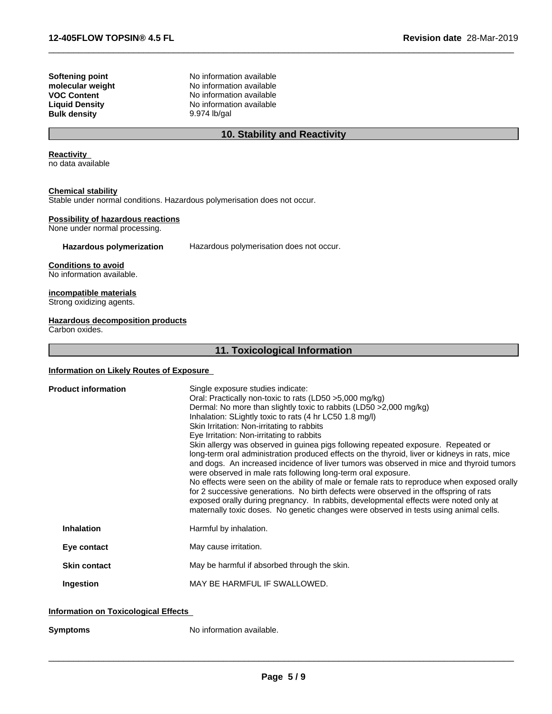**Bulk density** 

**Softening point**<br> **Consular weight**<br> **No information available**<br> **No information available molecular weight weight** No information available<br> **VOC Content No information available VOC Content**<br> **Liquid Density**<br> **Liquid Density**<br> **No information available** No information available<br>9.974 lb/gal

# **10. Stability and Reactivity**

 $\overline{\phantom{a}}$  ,  $\overline{\phantom{a}}$  ,  $\overline{\phantom{a}}$  ,  $\overline{\phantom{a}}$  ,  $\overline{\phantom{a}}$  ,  $\overline{\phantom{a}}$  ,  $\overline{\phantom{a}}$  ,  $\overline{\phantom{a}}$  ,  $\overline{\phantom{a}}$  ,  $\overline{\phantom{a}}$  ,  $\overline{\phantom{a}}$  ,  $\overline{\phantom{a}}$  ,  $\overline{\phantom{a}}$  ,  $\overline{\phantom{a}}$  ,  $\overline{\phantom{a}}$  ,  $\overline{\phantom{a}}$ 

### **Reactivity**

no data available

#### **Chemical stability**

Stable under normal conditions. Hazardous polymerisation does not occur.

#### **Possibility of hazardous reactions**

None under normal processing.

**Hazardous polymerization** Hazardous polymerisation does not occur.

#### **Conditions to avoid** No information available.

**incompatible materials** Strong oxidizing agents.

#### **Hazardous decomposition products**

Carbon oxides.

### **11. Toxicological Information**

### **Information on Likely Routes of Exposure**

| <b>Product information</b>           | Single exposure studies indicate:<br>Oral: Practically non-toxic to rats (LD50 > 5,000 mg/kg)<br>Dermal: No more than slightly toxic to rabbits (LD50 > 2,000 mg/kg)<br>Inhalation: SLightly toxic to rats (4 hr LC50 1.8 mg/l)<br>Skin Irritation: Non-irritating to rabbits<br>Eye Irritation: Non-irritating to rabbits<br>Skin allergy was observed in guinea pigs following repeated exposure. Repeated or<br>long-term oral administration produced effects on the thyroid, liver or kidneys in rats, mice<br>and dogs. An increased incidence of liver tumors was observed in mice and thyroid tumors<br>were observed in male rats following long-term oral exposure.<br>No effects were seen on the ability of male or female rats to reproduce when exposed orally<br>for 2 successive generations. No birth defects were observed in the offspring of rats<br>exposed orally during pregnancy. In rabbits, developmental effects were noted only at<br>maternally toxic doses. No genetic changes were observed in tests using animal cells. |
|--------------------------------------|---------------------------------------------------------------------------------------------------------------------------------------------------------------------------------------------------------------------------------------------------------------------------------------------------------------------------------------------------------------------------------------------------------------------------------------------------------------------------------------------------------------------------------------------------------------------------------------------------------------------------------------------------------------------------------------------------------------------------------------------------------------------------------------------------------------------------------------------------------------------------------------------------------------------------------------------------------------------------------------------------------------------------------------------------------|
| <b>Inhalation</b>                    | Harmful by inhalation.                                                                                                                                                                                                                                                                                                                                                                                                                                                                                                                                                                                                                                                                                                                                                                                                                                                                                                                                                                                                                                  |
| Eye contact                          | May cause irritation.                                                                                                                                                                                                                                                                                                                                                                                                                                                                                                                                                                                                                                                                                                                                                                                                                                                                                                                                                                                                                                   |
| <b>Skin contact</b>                  | May be harmful if absorbed through the skin.                                                                                                                                                                                                                                                                                                                                                                                                                                                                                                                                                                                                                                                                                                                                                                                                                                                                                                                                                                                                            |
| Ingestion                            | MAY BE HARMFUL IF SWALLOWED.                                                                                                                                                                                                                                                                                                                                                                                                                                                                                                                                                                                                                                                                                                                                                                                                                                                                                                                                                                                                                            |
| Information on Toxicological Effects |                                                                                                                                                                                                                                                                                                                                                                                                                                                                                                                                                                                                                                                                                                                                                                                                                                                                                                                                                                                                                                                         |

# **Information on Toxicological Effects**

**Symptoms** No information available.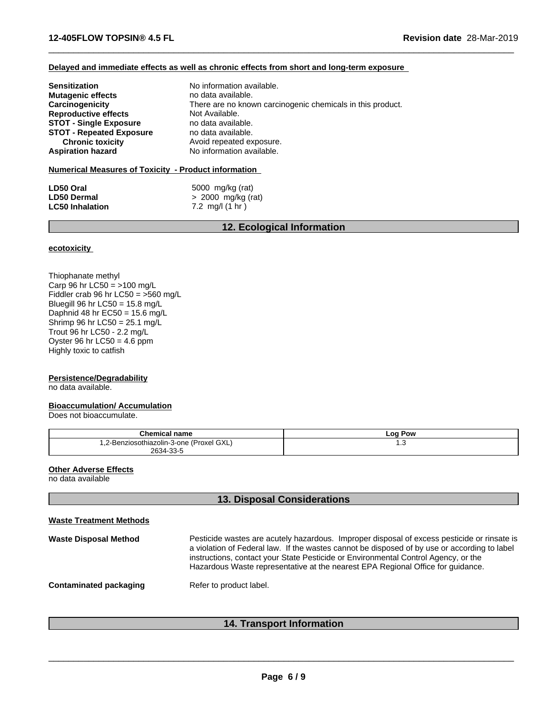#### **Delayed and immediate effects as well as chronic effects from short and long-term exposure**

| <b>Sensitization</b>            | No information available.                                  |
|---------------------------------|------------------------------------------------------------|
| <b>Mutagenic effects</b>        | no data available.                                         |
| Carcinogenicity                 | There are no known carcinogenic chemicals in this product. |
| <b>Reproductive effects</b>     | Not Available.                                             |
| <b>STOT - Single Exposure</b>   | no data available.                                         |
| <b>STOT - Repeated Exposure</b> | no data available.                                         |
| <b>Chronic toxicity</b>         | Avoid repeated exposure.                                   |
| <b>Aspiration hazard</b>        | No information available.                                  |

#### **Numerical Measures of Toxicity - Product information**

| LD50 Oral              | 5000 mg/kg (rat)          |
|------------------------|---------------------------|
| <b>LD50 Dermal</b>     | > 2000 mg/kg (rat)        |
| <b>LC50 Inhalation</b> | 7.2 mg/l $(1 \text{ hr})$ |

# **12. Ecological Information**

 $\overline{\phantom{a}}$  ,  $\overline{\phantom{a}}$  ,  $\overline{\phantom{a}}$  ,  $\overline{\phantom{a}}$  ,  $\overline{\phantom{a}}$  ,  $\overline{\phantom{a}}$  ,  $\overline{\phantom{a}}$  ,  $\overline{\phantom{a}}$  ,  $\overline{\phantom{a}}$  ,  $\overline{\phantom{a}}$  ,  $\overline{\phantom{a}}$  ,  $\overline{\phantom{a}}$  ,  $\overline{\phantom{a}}$  ,  $\overline{\phantom{a}}$  ,  $\overline{\phantom{a}}$  ,  $\overline{\phantom{a}}$ 

#### **ecotoxicity**

Thiophanate methyl Carp 96 hr  $LC50 = 100$  mg/L Fiddler crab 96 hr LC50 =  $>560$  mg/L Bluegill 96 hr LC50 = 15.8 mg/L Daphnid 48 hr  $EC50 = 15.6$  mg/L Shrimp 96 hr LC50 = 25.1 mg/L Trout 96 hr LC50 - 2.2 mg/L Oyster 96 hr  $LC50 = 4.6$  ppm Highly toxic to catfish

#### **Persistence/Degradability**

no data available.

#### **Bioaccumulation/ Accumulation**

Does not bioaccumulate.

| <b>Chemical name</b>                            | Log Pow        |
|-------------------------------------------------|----------------|
| GXL<br>C-Benziosothiazolin-3-one (Proxel - 2. . | ں. ا<br>$\sim$ |
| 2634-33-5                                       |                |

#### **Other Adverse Effects**

no data available

| Waste Treatment Methods |                                                                                                                                                                                                                                                                                                                                                                      |
|-------------------------|----------------------------------------------------------------------------------------------------------------------------------------------------------------------------------------------------------------------------------------------------------------------------------------------------------------------------------------------------------------------|
| Waste Disposal Method   | Pesticide wastes are acutely hazardous. Improper disposal of excess pesticide or rinsate is<br>a violation of Federal law. If the wastes cannot be disposed of by use or according to label<br>instructions, contact your State Pesticide or Environmental Control Agency, or the<br>Hazardous Waste representative at the nearest EPA Regional Office for guidance. |
| Contaminated packaging  | Refer to product label.                                                                                                                                                                                                                                                                                                                                              |
|                         |                                                                                                                                                                                                                                                                                                                                                                      |

**13. Disposal Considerations**

# **14. Transport Information**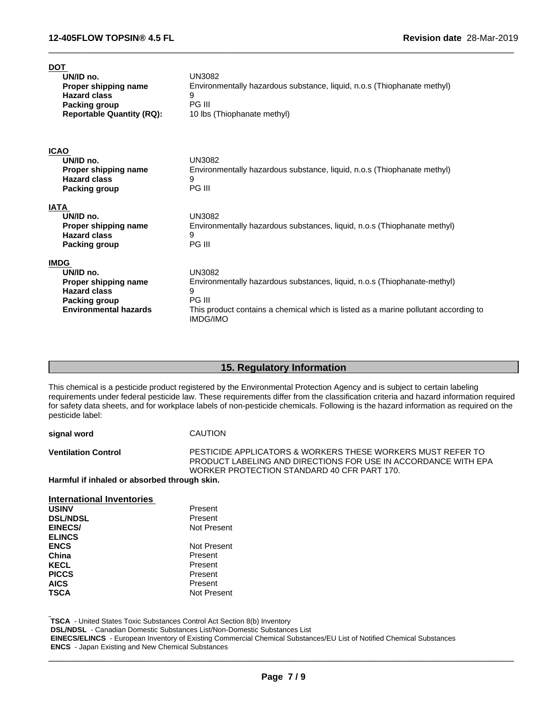| <b>DOT</b><br>UN/ID no.<br>Proper shipping name<br><b>Hazard class</b><br><b>Packing group</b><br><b>Reportable Quantity (RQ):</b> | <b>UN3082</b><br>Environmentally hazardous substance, liquid, n.o.s (Thiophanate methyl)<br>9<br>PG III<br>10 lbs (Thiophanate methyl) |
|------------------------------------------------------------------------------------------------------------------------------------|----------------------------------------------------------------------------------------------------------------------------------------|
| <b>ICAO</b><br>UN/ID no.                                                                                                           | <b>UN3082</b>                                                                                                                          |
| Proper shipping name                                                                                                               | Environmentally hazardous substance, liquid, n.o.s (Thiophanate methyl)                                                                |
| <b>Hazard class</b><br><b>Packing group</b>                                                                                        | 9<br>PG III                                                                                                                            |
| <b>IATA</b>                                                                                                                        |                                                                                                                                        |
| UN/ID no.<br>Proper shipping name                                                                                                  | <b>UN3082</b><br>Environmentally hazardous substances, liquid, n.o.s (Thiophanate methyl)                                              |
| <b>Hazard class</b>                                                                                                                | 9                                                                                                                                      |
| <b>Packing group</b>                                                                                                               | PG III                                                                                                                                 |
| <b>IMDG</b>                                                                                                                        |                                                                                                                                        |
| UN/ID no.                                                                                                                          | <b>UN3082</b>                                                                                                                          |
| Proper shipping name<br><b>Hazard class</b>                                                                                        | Environmentally hazardous substances, liquid, n.o.s (Thiophanate-methyl)<br>9                                                          |
| <b>Packing group</b>                                                                                                               | PG III                                                                                                                                 |
| <b>Environmental hazards</b>                                                                                                       | This product contains a chemical which is listed as a marine pollutant according to<br><b>IMDG/IMO</b>                                 |

 $\overline{\phantom{a}}$  ,  $\overline{\phantom{a}}$  ,  $\overline{\phantom{a}}$  ,  $\overline{\phantom{a}}$  ,  $\overline{\phantom{a}}$  ,  $\overline{\phantom{a}}$  ,  $\overline{\phantom{a}}$  ,  $\overline{\phantom{a}}$  ,  $\overline{\phantom{a}}$  ,  $\overline{\phantom{a}}$  ,  $\overline{\phantom{a}}$  ,  $\overline{\phantom{a}}$  ,  $\overline{\phantom{a}}$  ,  $\overline{\phantom{a}}$  ,  $\overline{\phantom{a}}$  ,  $\overline{\phantom{a}}$ 

# **15. Regulatory Information**

This chemical is a pesticide product registered by the Environmental Protection Agency and is subject to certain labeling requirements under federal pesticide law. These requirements differ from the classification criteria and hazard information required for safety data sheets, and for workplace labels of non-pesticide chemicals. Following is the hazard information as required on the pesticide label:

| signal word                                  | CAUTION                                                                                                                                                                      |  |
|----------------------------------------------|------------------------------------------------------------------------------------------------------------------------------------------------------------------------------|--|
| <b>Ventilation Control</b>                   | PESTICIDE APPLICATORS & WORKERS THESE WORKERS MUST REFER TO<br>PRODUCT LABELING AND DIRECTIONS FOR USE IN ACCORDANCE WITH EPA<br>WORKER PROTECTION STANDARD 40 CFR PART 170. |  |
| Harmful if inhaled or absorbed through skin. |                                                                                                                                                                              |  |
| International Inventories                    |                                                                                                                                                                              |  |

| <u>IIII CHIQUUIQI IIIV CHUU ICS</u> |             |
|-------------------------------------|-------------|
| <b>USINV</b>                        | Present     |
| <b>DSL/NDSL</b>                     | Present     |
| EINECS/                             | Not Present |
| <b>ELINCS</b>                       |             |
| <b>ENCS</b>                         | Not Present |
| China                               | Present     |
| <b>KECL</b>                         | Present     |
| <b>PICCS</b>                        | Present     |
| <b>AICS</b>                         | Present     |
| <b>TSCA</b>                         | Not Present |
|                                     |             |

 **TSCA** - United States Toxic Substances Control Act Section 8(b) Inventory

 **DSL/NDSL** - Canadian Domestic Substances List/Non-Domestic Substances List

 **EINECS/ELINCS** - European Inventory of Existing Commercial Chemical Substances/EU List of Notified Chemical Substances  **ENCS** - Japan Existing and New Chemical Substances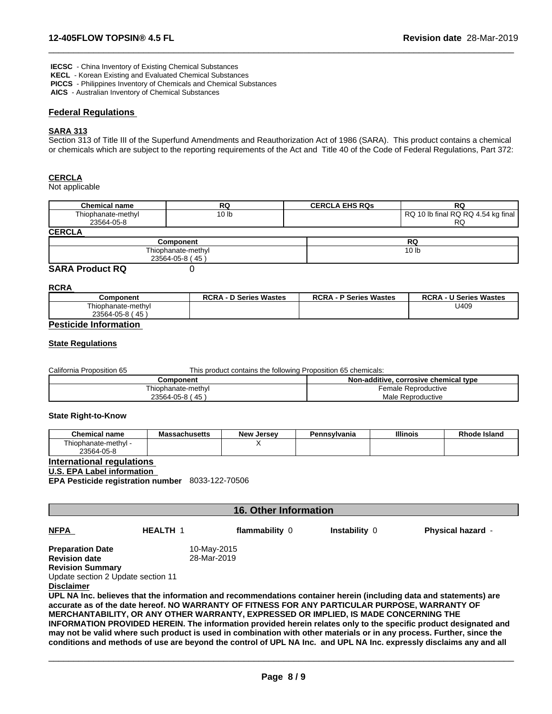**IECSC** - China Inventory of Existing Chemical Substances

- **KECL**  Korean Existing and Evaluated Chemical Substances
- **PICCS**  Philippines Inventory of Chemicals and Chemical Substances

 **AICS** - Australian Inventory of Chemical Substances

#### **Federal Regulations**

#### **SARA 313**

Section 313 of Title III of the Superfund Amendments and Reauthorization Act of 1986 (SARA). This product contains a chemical or chemicals which are subject to the reporting requirements of the Act and Title 40 of the Code of Federal Regulations, Part 372:

 $\overline{\phantom{a}}$  ,  $\overline{\phantom{a}}$  ,  $\overline{\phantom{a}}$  ,  $\overline{\phantom{a}}$  ,  $\overline{\phantom{a}}$  ,  $\overline{\phantom{a}}$  ,  $\overline{\phantom{a}}$  ,  $\overline{\phantom{a}}$  ,  $\overline{\phantom{a}}$  ,  $\overline{\phantom{a}}$  ,  $\overline{\phantom{a}}$  ,  $\overline{\phantom{a}}$  ,  $\overline{\phantom{a}}$  ,  $\overline{\phantom{a}}$  ,  $\overline{\phantom{a}}$  ,  $\overline{\phantom{a}}$ 

#### **CERCLA**

Not applicable

| <b>Chemical name</b> | RQ    | <b>EHS RQs</b><br>CERCLA | D.<br>טא                                     |
|----------------------|-------|--------------------------|----------------------------------------------|
| Thiophanate-methyl   | 10 lb |                          | 10 lb final RQ RQ 4.54 kg final<br><b>RQ</b> |
| 23564-05-8           |       |                          | Df<br>πc                                     |
| <b>CERCLA</b>        |       |                          |                                              |

| -----------                                  |           |
|----------------------------------------------|-----------|
| Component                                    | DC.<br>טא |
| Thiophanate-methyl                           | טו טו     |
| 45<br>23564<br>-05-8<br>ں ے<br>$\rightarrow$ |           |
| <b>CADA Basilist BO</b>                      |           |

#### **SARA Product RQ** 0

#### **RCRA**

| Component                 | <b>D Series Wastes</b><br><b>RCRA</b> | <b>RCRA</b><br><b>P Series Wastes</b> | U Series Wastes<br><b>RCRA</b> |
|---------------------------|---------------------------------------|---------------------------------------|--------------------------------|
| Thiophanate-methyl        |                                       |                                       | U409                           |
| 45<br>23564-0<br>$-05-8($ |                                       |                                       |                                |

#### **Pesticide Information**

#### **State Regulations**

California Proposition 65 This product contains the following Proposition 65 chemicals:

| Component                     | .<br><b>Nor</b><br>. corrosive chemical tvpe<br>n-additive. |  |
|-------------------------------|-------------------------------------------------------------|--|
| hiophanate-methyl             | Female<br>: Reproductive                                    |  |
| 45<br>23564-<br>. JO-81<br>ຯບ | Male<br>Reproductive                                        |  |

#### **State Right-to-Know**

| Chemical<br>া name         | Massachusetts | New<br>Jersev | Pennsylvania | <b>Illinois</b> | Island<br>10ae |
|----------------------------|---------------|---------------|--------------|-----------------|----------------|
| phanate-methvl -<br>. hiop |               |               |              |                 |                |
| -05-8<br>23564-0           |               |               |              |                 |                |

# **International regulations**

**U.S. EPA Label information**

**EPA Pesticide registration number** 8033-122-70506

# **16. Other Information**

**NFPA HEALTH** 1 **flammability** 0 **Instability** 0

 $\overline{\phantom{a}}$  ,  $\overline{\phantom{a}}$  ,  $\overline{\phantom{a}}$  ,  $\overline{\phantom{a}}$  ,  $\overline{\phantom{a}}$  ,  $\overline{\phantom{a}}$  ,  $\overline{\phantom{a}}$  ,  $\overline{\phantom{a}}$  ,  $\overline{\phantom{a}}$  ,  $\overline{\phantom{a}}$  ,  $\overline{\phantom{a}}$  ,  $\overline{\phantom{a}}$  ,  $\overline{\phantom{a}}$  ,  $\overline{\phantom{a}}$  ,  $\overline{\phantom{a}}$  ,  $\overline{\phantom{a}}$ 

**Physical hazard** -

**Preparation Date** 10-May-2015 **Revision date** 28-Mar-2019 **Revision Summary** Update section 2 Update section 11

**Disclaimer**

UPL NA Inc. believes that the information and recommendations container herein (including data and statements) are **accurate as of the date hereof. NO WARRANTY OF FITNESS FOR ANY PARTICULAR PURPOSE, WARRANTY OF MERCHANTABILITY, OR ANY OTHER WARRANTY, EXPRESSED OR IMPLIED, IS MADE CONCERNING THE INFORMATION PROVIDED HEREIN. The information provided herein relates only to the specific product designated and** may not be valid where such product is used in combination with other materials or in any process. Further, since the conditions and methods of use are beyond the control of UPL NA Inc. and UPL NA Inc. expressly disclaims any and all